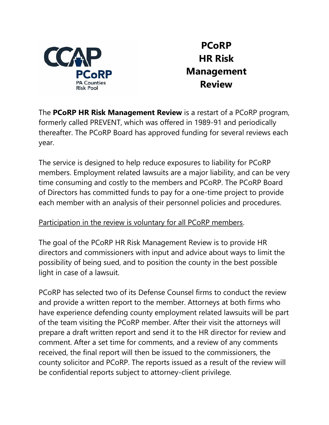

**PCoRP HR Risk Management Review**

The **PCoRP HR Risk Management Review** is a restart of a PCoRP program, formerly called PREVENT, which was offered in 1989-91 and periodically thereafter. The PCoRP Board has approved funding for several reviews each year.

The service is designed to help reduce exposures to liability for PCoRP members. Employment related lawsuits are a major liability, and can be very time consuming and costly to the members and PCoRP. The PCoRP Board of Directors has committed funds to pay for a one-time project to provide each member with an analysis of their personnel policies and procedures.

## Participation in the review is voluntary for all PCoRP members.

The goal of the PCoRP HR Risk Management Review is to provide HR directors and commissioners with input and advice about ways to limit the possibility of being sued, and to position the county in the best possible light in case of a lawsuit.

PCoRP has selected two of its Defense Counsel firms to conduct the review and provide a written report to the member. Attorneys at both firms who have experience defending county employment related lawsuits will be part of the team visiting the PCoRP member. After their visit the attorneys will prepare a draft written report and send it to the HR director for review and comment. After a set time for comments, and a review of any comments received, the final report will then be issued to the commissioners, the county solicitor and PCoRP. The reports issued as a result of the review will be confidential reports subject to attorney-client privilege.